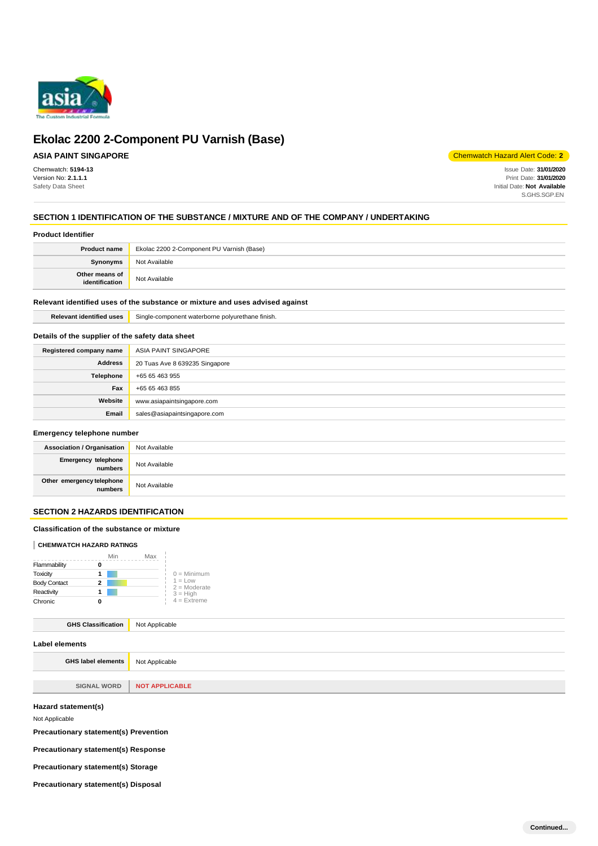

## **ASIA PAINT SINGAPORE**

Chemwatch: **5194-13** Version No: **2.1.1.1** Safety Data Sheet

Chemwatch Hazard Alert Code: **2**

Issue Date: **31/01/2020** Print Date: **31/01/2020** Initial Date: **Not Available** S.GHS.SGP.EN

## **SECTION 1 IDENTIFICATION OF THE SUBSTANCE / MIXTURE AND OF THE COMPANY / UNDERTAKING**

### **Product Identifier**

| <b>Product name</b>              | Ekolac 2200 2-Component PU Varnish (Base) |
|----------------------------------|-------------------------------------------|
| <b>Synonyms</b>                  | Not Available                             |
| Other means of<br>identification | Not Available                             |

## **Relevant identified uses of the substance or mixture and uses advised against**

**Relevant identified uses** Single-component waterborne polyurethane finish.

## **Details of the supplier of the safety data sheet**

| Registered company name | ASIA PAINT SINGAPORE           |
|-------------------------|--------------------------------|
| <b>Address</b>          | 20 Tuas Ave 8 639235 Singapore |
| Telephone               | +65 65 463 955                 |
| Fax                     | +65 65 463 855                 |
| Website                 | www.asiapaintsingapore.com     |
| Email                   | sales@asiapaintsingapore.com   |

## **Emergency telephone number**

| <b>Association / Organisation</b>     | Not Available |
|---------------------------------------|---------------|
| <b>Emergency telephone</b><br>numbers | Not Available |
| Other emergency telephone<br>numbers  | Not Available |

## **SECTION 2 HAZARDS IDENTIFICATION**

## **Classification of the substance or mixture**

## **CHEMWATCH HAZARD RATINGS**

|                     | Min | Max |                             |
|---------------------|-----|-----|-----------------------------|
| Flammability        |     |     |                             |
| Toxicity            |     |     | $0 =$ Minimum               |
| <b>Body Contact</b> | 2   |     | $1 = Low$<br>$2 =$ Moderate |
| Reactivity          |     |     | $3 = High$                  |
| Chronic             |     |     | $4$ = Extreme               |

## **GHS Classification** Not Applicable

| Label elements      |                       |
|---------------------|-----------------------|
| GHS label elements  | Not Applicable        |
|                     |                       |
| <b>SIGNAL WORD</b>  | <b>NOT APPLICABLE</b> |
| Hazard statement(s) |                       |

Not Applicable

**Precautionary statement(s) Prevention** 

**Precautionary statement(s) Response** 

**Precautionary statement(s) Storage** 

**Precautionary statement(s) Disposal**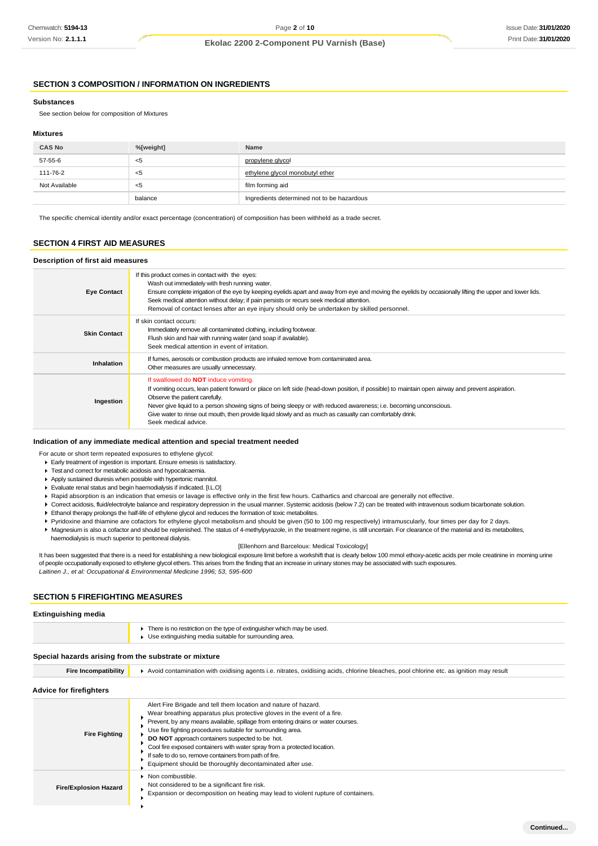## **SECTION 3 COMPOSITION / INFORMATION ON INGREDIENTS**

## **Substances**

See section below for composition of Mixtures

## **Mixtures**

| <b>CAS No</b> | %[weight] | Name                                       |
|---------------|-----------|--------------------------------------------|
| 57-55-6       | <5        | propylene glycol                           |
| 111-76-2      | <5        | ethylene glycol monobutyl ether            |
| Not Available | <5        | film forming aid                           |
|               | balance   | Ingredients determined not to be hazardous |

The specific chemical identity and/or exact percentage (concentration) of composition has been withheld as a trade secret.

## **SECTION 4 FIRST AID MEASURES**

### **Description of first aid measures**

| <b>Eye Contact</b>  | If this product comes in contact with the eyes:<br>Wash out immediately with fresh running water.<br>Ensure complete irrigation of the eye by keeping eyelids apart and away from eye and moving the eyelids by occasionally lifting the upper and lower lids.<br>Seek medical attention without delay; if pain persists or recurs seek medical attention.<br>Removal of contact lenses after an eye injury should only be undertaken by skilled personnel.                                |
|---------------------|--------------------------------------------------------------------------------------------------------------------------------------------------------------------------------------------------------------------------------------------------------------------------------------------------------------------------------------------------------------------------------------------------------------------------------------------------------------------------------------------|
| <b>Skin Contact</b> | If skin contact occurs:<br>Immediately remove all contaminated clothing, including footwear.<br>Flush skin and hair with running water (and soap if available).<br>Seek medical attention in event of irritation.                                                                                                                                                                                                                                                                          |
| Inhalation          | If fumes, aerosols or combustion products are inhaled remove from contaminated area.<br>Other measures are usually unnecessary.                                                                                                                                                                                                                                                                                                                                                            |
| Ingestion           | If swallowed do <b>NOT</b> induce vomiting.<br>If vomiting occurs, lean patient forward or place on left side (head-down position, if possible) to maintain open airway and prevent aspiration.<br>Observe the patient carefully.<br>Never give liquid to a person showing signs of being sleepy or with reduced awareness; i.e. becoming unconscious.<br>Give water to rinse out mouth, then provide liquid slowly and as much as casualty can comfortably drink.<br>Seek medical advice. |

#### **Indication of any immediate medical attention and special treatment needed**

For acute or short term repeated exposures to ethylene glycol:

- Early treatment of ingestion is important. Ensure emesis is satisfactory.
- Test and correct for metabolic acidosis and hypocalcaemia.
- Apply sustained diuresis when possible with hypertonic mannitol.
- Evaluate renal status and begin haemodialysis if indicated. [I.L.O]
- Rapid absorption is an indication that emesis or lavage is effective only in the first few hours. Cathartics and charcoal are generally not effective.
- ▶ Correct acidosis, fluid/electrolyte balance and respiratory depression in the usual manner. Systemic acidosis (below 7.2) can be treated with intravenous sodium bicarbonate solution. Ethanol therapy prolongs the half-life of ethylene glycol and reduces the formation of toxic metabolites.
- 
- Pyridoxine and thiamine are cofactors for ethylene glycol metabolism and should be given (50 to 100 mg respectively) intramuscularly, four times per day for 2 days. Magnesium is also a cofactor and should be replenished. The status of 4-methylpyrazole, in the treatment regime, is still uncertain. For clearance of the material and its metabolites,
- haemodialysis is much superior to peritoneal dialysis.

#### [Ellenhorn and Barceloux: Medical Toxicology]

It has been suggested that there is a need for establishing a new biological exposure limit before a workshift that is clearly below 100 mmol ethoxy-acetic acids per mole creatinine in morning urine of people occupationally exposed to ethylene glycol ethers. This arises from the finding that an increase in urinary stones may be associated with such exposures. *Laitinen J., et al: Occupational & Environmental Medicine 1996; 53, 595-600*

### **SECTION 5 FIREFIGHTING MEASURES**

### **Extinguishing media**

| There is no restriction on the type of extinguisher which may be used. |
|------------------------------------------------------------------------|
| Use extinguishing media suitable for surrounding area.                 |

### **Special hazards arising from the substrate or mixture**

| opcolar nazaras arismig mom me substrate or imxture |                                                                                                                                                                                                                                                                                                                                                                                                                                                                                                                                                    |  |
|-----------------------------------------------------|----------------------------------------------------------------------------------------------------------------------------------------------------------------------------------------------------------------------------------------------------------------------------------------------------------------------------------------------------------------------------------------------------------------------------------------------------------------------------------------------------------------------------------------------------|--|
| <b>Fire Incompatibility</b>                         | Avoid contamination with oxidising agents i.e. nitrates, oxidising acids, chlorine bleaches, pool chlorine etc. as ignition may result                                                                                                                                                                                                                                                                                                                                                                                                             |  |
| Advice for firefighters                             |                                                                                                                                                                                                                                                                                                                                                                                                                                                                                                                                                    |  |
| <b>Fire Fighting</b>                                | Alert Fire Brigade and tell them location and nature of hazard.<br>Wear breathing apparatus plus protective gloves in the event of a fire.<br>Prevent, by any means available, spillage from entering drains or water courses.<br>Use fire fighting procedures suitable for surrounding area.<br>DO NOT approach containers suspected to be hot.<br>Cool fire exposed containers with water spray from a protected location.<br>If safe to do so, remove containers from path of fire.<br>Equipment should be thoroughly decontaminated after use. |  |
| <b>Fire/Explosion Hazard</b>                        | • Non combustible.<br>Not considered to be a significant fire risk.<br>Expansion or decomposition on heating may lead to violent rupture of containers.                                                                                                                                                                                                                                                                                                                                                                                            |  |
|                                                     |                                                                                                                                                                                                                                                                                                                                                                                                                                                                                                                                                    |  |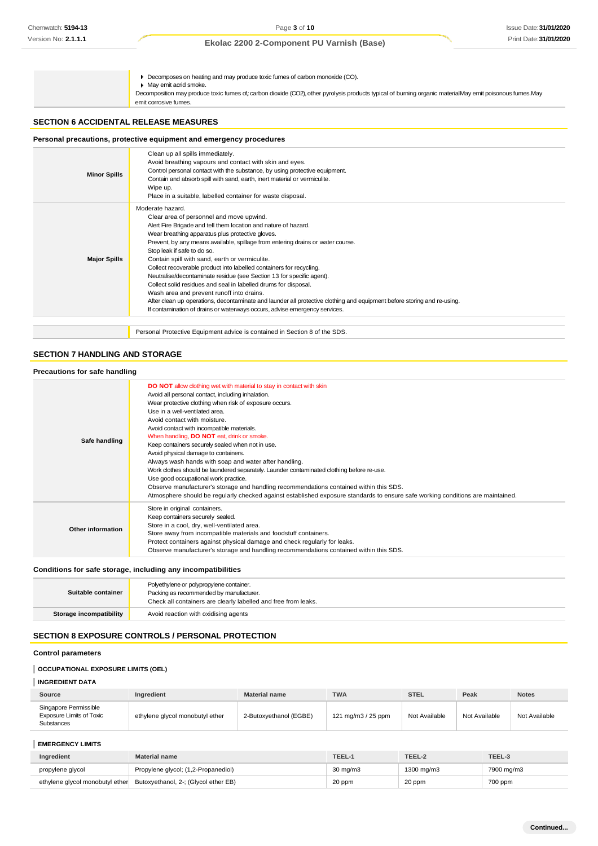Decomposes on heating and may produce toxic fumes of carbon monoxide (CO). May emit acrid smoke. Decomposition may produce toxic fumes of,: carbon dioxide (CO2), other pyrolysis products typical of burning organic materialMay emit poisonous fumes.May emit corrosive fumes.

## **SECTION 6 ACCIDENTAL RELEASE MEASURES**

## **Personal precautions, protective equipment and emergency procedures**

| <b>Minor Spills</b> | Clean up all spills immediately.<br>Avoid breathing vapours and contact with skin and eyes.<br>Control personal contact with the substance, by using protective equipment.<br>Contain and absorb spill with sand, earth, inert material or vermiculite.<br>Wipe up.<br>Place in a suitable, labelled container for waste disposal.                                                                                                                                                                                                                                                                                                                                                                                                                                                                                               |
|---------------------|----------------------------------------------------------------------------------------------------------------------------------------------------------------------------------------------------------------------------------------------------------------------------------------------------------------------------------------------------------------------------------------------------------------------------------------------------------------------------------------------------------------------------------------------------------------------------------------------------------------------------------------------------------------------------------------------------------------------------------------------------------------------------------------------------------------------------------|
| <b>Major Spills</b> | Moderate hazard.<br>Clear area of personnel and move upwind.<br>Alert Fire Brigade and tell them location and nature of hazard.<br>Wear breathing apparatus plus protective gloves.<br>Prevent, by any means available, spillage from entering drains or water course.<br>Stop leak if safe to do so.<br>Contain spill with sand, earth or vermiculite.<br>Collect recoverable product into labelled containers for recycling.<br>Neutralise/decontaminate residue (see Section 13 for specific agent).<br>Collect solid residues and seal in labelled drums for disposal.<br>Wash area and prevent runoff into drains.<br>After clean up operations, decontaminate and launder all protective clothing and equipment before storing and re-using.<br>If contamination of drains or waterways occurs, advise emergency services. |
|                     | Personal Protective Equipment advice is contained in Section 8 of the SDS.                                                                                                                                                                                                                                                                                                                                                                                                                                                                                                                                                                                                                                                                                                                                                       |

## **SECTION 7 HANDLING AND STORAGE**

| Precautions for safe handling |                                                                                                                                                                                                                                                                                                                                                                                                                                                                                                                                                                                                                                                                                                                                                                                                                                                                                        |  |
|-------------------------------|----------------------------------------------------------------------------------------------------------------------------------------------------------------------------------------------------------------------------------------------------------------------------------------------------------------------------------------------------------------------------------------------------------------------------------------------------------------------------------------------------------------------------------------------------------------------------------------------------------------------------------------------------------------------------------------------------------------------------------------------------------------------------------------------------------------------------------------------------------------------------------------|--|
| Safe handling                 | <b>DO NOT</b> allow clothing wet with material to stay in contact with skin<br>Avoid all personal contact, including inhalation.<br>Wear protective clothing when risk of exposure occurs.<br>Use in a well-ventilated area.<br>Avoid contact with moisture.<br>Avoid contact with incompatible materials.<br>When handling, <b>DO NOT</b> eat, drink or smoke.<br>Keep containers securely sealed when not in use.<br>Avoid physical damage to containers.<br>Always wash hands with soap and water after handling.<br>Work clothes should be laundered separately. Launder contaminated clothing before re-use.<br>Use good occupational work practice.<br>Observe manufacturer's storage and handling recommendations contained within this SDS.<br>Atmosphere should be regularly checked against established exposure standards to ensure safe working conditions are maintained. |  |
| Other information             | Store in original containers.<br>Keep containers securely sealed.<br>Store in a cool, dry, well-ventilated area.<br>Store away from incompatible materials and foodstuff containers.<br>Protect containers against physical damage and check regularly for leaks.<br>Observe manufacturer's storage and handling recommendations contained within this SDS.                                                                                                                                                                                                                                                                                                                                                                                                                                                                                                                            |  |

## **Conditions for safe storage, including any incompatibilities**

| Suitable container             | Polyethylene or polypropylene container.<br>Packing as recommended by manufacturer.<br>Check all containers are clearly labelled and free from leaks. |
|--------------------------------|-------------------------------------------------------------------------------------------------------------------------------------------------------|
| <b>Storage incompatibility</b> | Avoid reaction with oxidising agents                                                                                                                  |

## **SECTION 8 EXPOSURE CONTROLS / PERSONAL PROTECTION**

## **Control parameters**

## **OCCUPATIONAL EXPOSURE LIMITS (OEL)**

| <b>INGREDIENT DATA</b>                                                 |                                 |                        |                    |               |               |               |
|------------------------------------------------------------------------|---------------------------------|------------------------|--------------------|---------------|---------------|---------------|
| Source                                                                 | Ingredient                      | <b>Material name</b>   | <b>TWA</b>         | <b>STEL</b>   | Peak          | <b>Notes</b>  |
| Singapore Permissible<br><b>Exposure Limits of Toxic</b><br>Substances | ethylene glycol monobutyl ether | 2-Butoxyethanol (EGBE) | 121 mg/m3 / 25 ppm | Not Available | Not Available | Not Available |

## **EMERGENCY LIMITS**

| Ingredient       | <b>Material name</b>                                                 | TEEL-1            | TEEL-2     | TEEL-3     |
|------------------|----------------------------------------------------------------------|-------------------|------------|------------|
| propylene glycol | Propylene glycol; (1,2-Propanediol)                                  | $30 \text{ mg/m}$ | 1300 mg/m3 | 7900 mg/m3 |
|                  | ethylene glycol monobutyl ether Butoxyethanol, 2-; (Glycol ether EB) | 20 ppm            | 20 ppm     | 700 ppm    |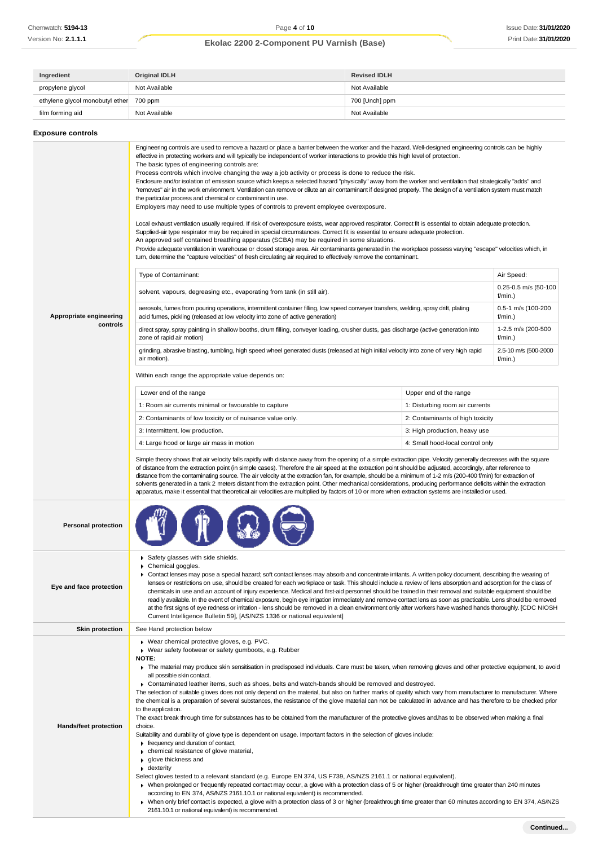| Ingredient                      | Original IDLH | <b>Revised IDLH</b> |
|---------------------------------|---------------|---------------------|
| propylene glycol                | Not Available | Not Available       |
| ethylene glycol monobutyl ether | 700 ppm       | 700 [Unch] ppm      |
| film forming aid                | Not Available | Not Available       |

| <b>Exposure controls</b>            |                                                                                                                                                                                                                                                                                                                                                                                                                                                                                                                                                                                                                                                                                                                                                                                                                                                                                                                                                                                                                                                                                                                                                                                                                                                                                                                                                                                                                                                                                                                                                                                                                                                                                                                                                                                                                                                                                                                                                                                                                                                                                                                                                                                                                                                                                                                                                                                                                                                                                                                                                                                                                                                                                                                                                                                                                                                                                                                              |  |  |  |
|-------------------------------------|------------------------------------------------------------------------------------------------------------------------------------------------------------------------------------------------------------------------------------------------------------------------------------------------------------------------------------------------------------------------------------------------------------------------------------------------------------------------------------------------------------------------------------------------------------------------------------------------------------------------------------------------------------------------------------------------------------------------------------------------------------------------------------------------------------------------------------------------------------------------------------------------------------------------------------------------------------------------------------------------------------------------------------------------------------------------------------------------------------------------------------------------------------------------------------------------------------------------------------------------------------------------------------------------------------------------------------------------------------------------------------------------------------------------------------------------------------------------------------------------------------------------------------------------------------------------------------------------------------------------------------------------------------------------------------------------------------------------------------------------------------------------------------------------------------------------------------------------------------------------------------------------------------------------------------------------------------------------------------------------------------------------------------------------------------------------------------------------------------------------------------------------------------------------------------------------------------------------------------------------------------------------------------------------------------------------------------------------------------------------------------------------------------------------------------------------------------------------------------------------------------------------------------------------------------------------------------------------------------------------------------------------------------------------------------------------------------------------------------------------------------------------------------------------------------------------------------------------------------------------------------------------------------------------------|--|--|--|
| Appropriate engineering<br>controls | Engineering controls are used to remove a hazard or place a barrier between the worker and the hazard. Well-designed engineering controls can be highly<br>effective in protecting workers and will typically be independent of worker interactions to provide this high level of protection.<br>The basic types of engineering controls are:<br>Process controls which involve changing the way a job activity or process is done to reduce the risk.<br>Enclosure and/or isolation of emission source which keeps a selected hazard "physically" away from the worker and ventilation that strategically "adds" and<br>"removes" air in the work environment. Ventilation can remove or dilute an air contaminant if designed properly. The design of a ventilation system must match<br>the particular process and chemical or contaminant in use.<br>Employers may need to use multiple types of controls to prevent employee overexposure.<br>Local exhaust ventilation usually required. If risk of overexposure exists, wear approved respirator. Correct fit is essential to obtain adequate protection.<br>Supplied-air type respirator may be required in special circumstances. Correct fit is essential to ensure adequate protection.<br>An approved self contained breathing apparatus (SCBA) may be required in some situations.<br>Provide adequate ventilation in warehouse or closed storage area. Air contaminants generated in the workplace possess varying "escape" velocities which, in<br>turn, determine the "capture velocities" of fresh circulating air required to effectively remove the contaminant.<br>Type of Contaminant:<br>Air Speed:<br>0.25-0.5 m/s (50-100<br>solvent, vapours, degreasing etc., evaporating from tank (in still air).<br>f/min.)<br>aerosols, fumes from pouring operations, intermittent container filling, low speed conveyer transfers, welding, spray drift, plating<br>0.5-1 m/s (100-200<br>acid fumes, pickling (released at low velocity into zone of active generation)<br>$f/min.$ )<br>direct spray, spray painting in shallow booths, drum filling, conveyer loading, crusher dusts, gas discharge (active generation into<br>1-2.5 m/s (200-500<br>zone of rapid air motion)<br>f/min.)<br>2.5-10 m/s (500-2000<br>grinding, abrasive blasting, tumbling, high speed wheel generated dusts (released at high initial velocity into zone of very high rapid<br>air motion).<br>$f/min.$ )<br>Within each range the appropriate value depends on:<br>Lower end of the range<br>Upper end of the range<br>1: Room air currents minimal or favourable to capture<br>1: Disturbing room air currents<br>2: Contaminants of low toxicity or of nuisance value only.<br>2: Contaminants of high toxicity<br>3: Intermittent, low production.<br>3: High production, heavy use<br>4: Large hood or large air mass in motion<br>4: Small hood-local control only |  |  |  |
|                                     | Simple theory shows that air velocity falls rapidly with distance away from the opening of a simple extraction pipe. Velocity generally decreases with the square<br>of distance from the extraction point (in simple cases). Therefore the air speed at the extraction point should be adjusted, accordingly, after reference to<br>distance from the contaminating source. The air velocity at the extraction fan, for example, should be a minimum of 1-2 m/s (200-400 f/min) for extraction of<br>solvents generated in a tank 2 meters distant from the extraction point. Other mechanical considerations, producing performance deficits within the extraction<br>apparatus, make it essential that theoretical air velocities are multiplied by factors of 10 or more when extraction systems are installed or used.                                                                                                                                                                                                                                                                                                                                                                                                                                                                                                                                                                                                                                                                                                                                                                                                                                                                                                                                                                                                                                                                                                                                                                                                                                                                                                                                                                                                                                                                                                                                                                                                                                                                                                                                                                                                                                                                                                                                                                                                                                                                                                  |  |  |  |
| <b>Personal protection</b>          |                                                                                                                                                                                                                                                                                                                                                                                                                                                                                                                                                                                                                                                                                                                                                                                                                                                                                                                                                                                                                                                                                                                                                                                                                                                                                                                                                                                                                                                                                                                                                                                                                                                                                                                                                                                                                                                                                                                                                                                                                                                                                                                                                                                                                                                                                                                                                                                                                                                                                                                                                                                                                                                                                                                                                                                                                                                                                                                              |  |  |  |
| Eye and face protection             | Safety glasses with side shields.<br>Chemical goggles.<br>▶ Contact lenses may pose a special hazard; soft contact lenses may absorb and concentrate irritants. A written policy document, describing the wearing of<br>lenses or restrictions on use, should be created for each workplace or task. This should include a review of lens absorption and adsorption for the class of<br>chemicals in use and an account of injury experience. Medical and first-aid personnel should be trained in their removal and suitable equipment should be<br>readily available. In the event of chemical exposure, begin eye irrigation immediately and remove contact lens as soon as practicable. Lens should be removed<br>at the first signs of eye redness or irritation - lens should be removed in a clean environment only after workers have washed hands thoroughly. [CDC NIOSH<br>Current Intelligence Bulletin 59], [AS/NZS 1336 or national equivalent]                                                                                                                                                                                                                                                                                                                                                                                                                                                                                                                                                                                                                                                                                                                                                                                                                                                                                                                                                                                                                                                                                                                                                                                                                                                                                                                                                                                                                                                                                                                                                                                                                                                                                                                                                                                                                                                                                                                                                                 |  |  |  |
| <b>Skin protection</b>              | See Hand protection below                                                                                                                                                                                                                                                                                                                                                                                                                                                                                                                                                                                                                                                                                                                                                                                                                                                                                                                                                                                                                                                                                                                                                                                                                                                                                                                                                                                                                                                                                                                                                                                                                                                                                                                                                                                                                                                                                                                                                                                                                                                                                                                                                                                                                                                                                                                                                                                                                                                                                                                                                                                                                                                                                                                                                                                                                                                                                                    |  |  |  |
| Hands/feet protection               | ▶ Wear chemical protective gloves, e.g. PVC.<br>▶ Wear safety footwear or safety gumboots, e.g. Rubber<br>NOTE:<br>The material may produce skin sensitisation in predisposed individuals. Care must be taken, when removing gloves and other protective equipment, to avoid<br>all possible skin contact.<br>► Contaminated leather items, such as shoes, belts and watch-bands should be removed and destroyed.<br>The selection of suitable gloves does not only depend on the material, but also on further marks of quality which vary from manufacturer to manufacturer. Where<br>the chemical is a preparation of several substances, the resistance of the glove material can not be calculated in advance and has therefore to be checked prior<br>to the application.<br>The exact break through time for substances has to be obtained from the manufacturer of the protective gloves and has to be observed when making a final<br>choice.<br>Suitability and durability of glove type is dependent on usage. Important factors in the selection of gloves include:<br>Frequency and duration of contact,<br>• chemical resistance of glove material,<br>▶ glove thickness and<br>$\bullet$ dexterity<br>Select gloves tested to a relevant standard (e.g. Europe EN 374, US F739, AS/NZS 2161.1 or national equivalent).<br>▶ When prolonged or frequently repeated contact may occur, a glove with a protection class of 5 or higher (breakthrough time greater than 240 minutes<br>according to EN 374, AS/NZS 2161.10.1 or national equivalent) is recommended.<br>> When only brief contact is expected, a glove with a protection class of 3 or higher (breakthrough time greater than 60 minutes according to EN 374, AS/NZS<br>2161.10.1 or national equivalent) is recommended.                                                                                                                                                                                                                                                                                                                                                                                                                                                                                                                                                                                                                                                                                                                                                                                                                                                                                                                                                                                                                                                                                                                         |  |  |  |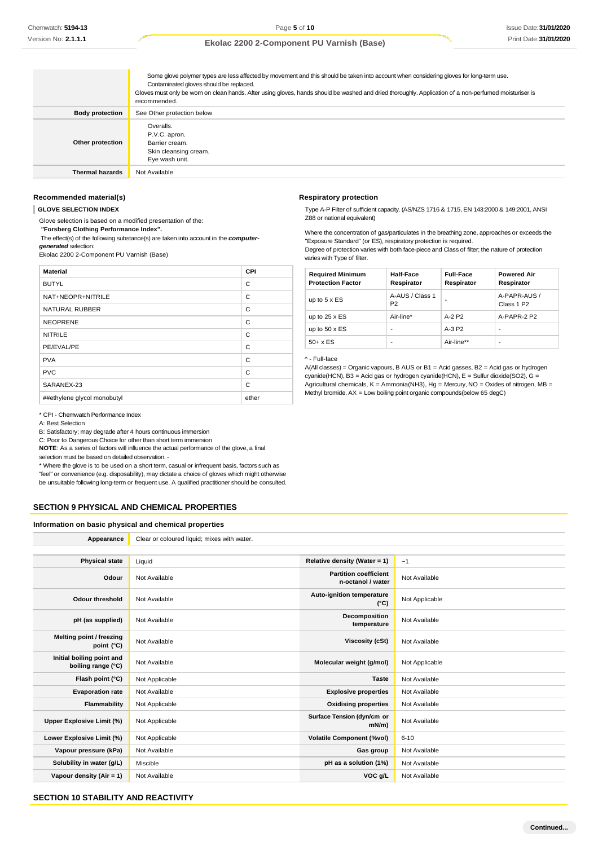|                        | Some glove polymer types are less affected by movement and this should be taken into account when considering gloves for long-term use.<br>Contaminated gloves should be replaced.<br>Gloves must only be wom on clean hands. After using gloves, hands should be washed and dried thoroughly. Application of a non-perfumed moisturiser is<br>recommended. |
|------------------------|-------------------------------------------------------------------------------------------------------------------------------------------------------------------------------------------------------------------------------------------------------------------------------------------------------------------------------------------------------------|
| <b>Body protection</b> | See Other protection below                                                                                                                                                                                                                                                                                                                                  |
| Other protection       | Overalls.<br>P.V.C. apron.<br>Barrier cream.<br>Skin cleansing cream.<br>Eye wash unit.                                                                                                                                                                                                                                                                     |
| <b>Thermal hazards</b> | Not Available                                                                                                                                                                                                                                                                                                                                               |

## **Recommended material(s)**

**GLOVE SELECTION INDEX**

Glove selection is based on a modified presentation of the:

*"***Forsberg Clothing Performance Index".**

The effect(s) of the following substance(s) are taken into account in the *computergenerated* selection:

Ekolac 2200 2-Component PU Varnish (Base)

| <b>Material</b>             | <b>CPI</b> |
|-----------------------------|------------|
| <b>BUTYL</b>                | C          |
| NAT+NEOPR+NITRILE           | C          |
| NATURAL RUBBER              | C          |
| <b>NEOPRENE</b>             | C          |
| <b>NITRILE</b>              | C          |
| PE/EVAL/PE                  | C          |
| <b>PVA</b>                  | C          |
| <b>PVC</b>                  | C          |
| SARANEX-23                  | C          |
| ##ethylene glycol monobutyl | ether      |

#### \* CPI - Chemwatch Performance Index

A: Best Selection

B: Satisfactory; may degrade after 4 hours continuous immersion

C: Poor to Dangerous Choice for other than short term immersion

**NOTE**: As a series of factors will influence the actual performance of the glove, a final selection must be based on detailed observation. -

\* Where the glove is to be used on a short term, casual or infrequent basis, factors such as "feel" or convenience (e.g. disposability), may dictate a choice of gloves which might otherwise be unsuitable following long-term or frequent use. A qualified practitioner should be consulted.

## **SECTION 9 PHYSICAL AND CHEMICAL PROPERTIES**

**Information on basic physical and chemical properties**

| Appearance                                      | Clear or coloured liquid; mixes with water. |                                                   |                |
|-------------------------------------------------|---------------------------------------------|---------------------------------------------------|----------------|
|                                                 |                                             |                                                   |                |
| <b>Physical state</b>                           | Liquid                                      | Relative density (Water = 1)                      | ~1             |
| Odour                                           | Not Available                               | <b>Partition coefficient</b><br>n-octanol / water | Not Available  |
| <b>Odour threshold</b>                          | Not Available                               | Auto-ignition temperature<br>$(^{\circ}C)$        | Not Applicable |
| pH (as supplied)                                | Not Available                               | Decomposition<br>temperature                      | Not Available  |
| Melting point / freezing<br>point (°C)          | Not Available                               | <b>Viscosity (cSt)</b>                            | Not Available  |
| Initial boiling point and<br>boiling range (°C) | Not Available                               | Molecular weight (g/mol)                          | Not Applicable |
| Flash point (°C)                                | Not Applicable                              | <b>Taste</b>                                      | Not Available  |
| <b>Evaporation rate</b>                         | Not Available                               | <b>Explosive properties</b>                       | Not Available  |
| Flammability                                    | Not Applicable                              | <b>Oxidising properties</b>                       | Not Available  |
| Upper Explosive Limit (%)                       | Not Applicable                              | Surface Tension (dyn/cm or<br>mN/m                | Not Available  |
| Lower Explosive Limit (%)                       | Not Applicable                              | <b>Volatile Component (%vol)</b>                  | $6 - 10$       |
| Vapour pressure (kPa)                           | Not Available                               | Gas group                                         | Not Available  |
| Solubility in water (g/L)                       | Miscible                                    | pH as a solution (1%)                             | Not Available  |
| Vapour density (Air = 1)                        | Not Available                               | VOC g/L                                           | Not Available  |

## **SECTION 10 STABILITY AND REACTIVITY**

#### **Respiratory protection**

Type A-P Filter of sufficient capacity. (AS/NZS 1716 & 1715, EN 143:2000 & 149:2001, ANSI Z88 or national equivalent)

Where the concentration of gas/particulates in the breathing zone, approaches or exceeds the "Exposure Standard" (or ES), respiratory protection is required.

Degree of protection varies with both face-piece and Class of filter; the nature of protection varies with Type of filter.

| <b>Required Minimum</b><br><b>Protection Factor</b> | Half-Face<br>Respirator           | <b>Full-Face</b><br>Respirator | <b>Powered Air</b><br>Respirator       |
|-----------------------------------------------------|-----------------------------------|--------------------------------|----------------------------------------|
| up to $5 \times ES$                                 | A-AUS / Class 1<br>P <sub>2</sub> |                                | A-PAPR-AUS /<br>Class 1 P <sub>2</sub> |
| up to $25 \times ES$                                | Air-line*                         | $A-2$ P <sub>2</sub>           | A-PAPR-2 P2                            |
| up to $50 \times ES$                                | ۰                                 | $A-3P2$                        |                                        |
| $50+ x ES$                                          |                                   | Air-line**                     |                                        |

### ^ - Full-face

A(All classes) = Organic vapours, B AUS or B1 = Acid gasses, B2 = Acid gas or hydrogen cyanide(HCN), B3 = Acid gas or hydrogen cyanide(HCN), E = Sulfur dioxide(SO2), G = Agricultural chemicals,  $K =$  Ammonia(NH3), Hg = Mercury, NO = Oxides of nitrogen, MB = Methyl bromide, AX = Low boiling point organic compounds(below 65 degC)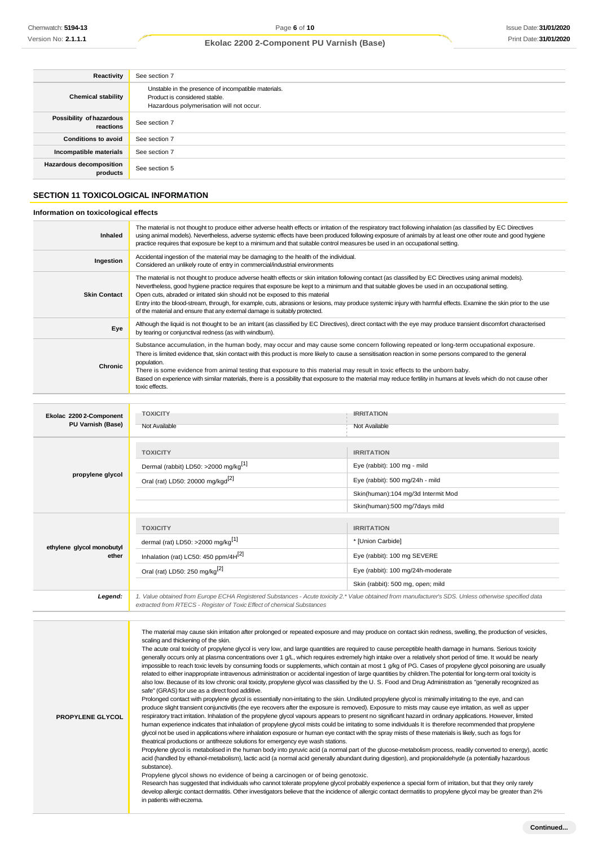| Reactivity                                 | See section 7                                                                                                                    |
|--------------------------------------------|----------------------------------------------------------------------------------------------------------------------------------|
| <b>Chemical stability</b>                  | Unstable in the presence of incompatible materials.<br>Product is considered stable.<br>Hazardous polymerisation will not occur. |
| Possibility of hazardous<br>reactions      | See section 7                                                                                                                    |
| <b>Conditions to avoid</b>                 | See section 7                                                                                                                    |
| Incompatible materials                     | See section 7                                                                                                                    |
| <b>Hazardous decomposition</b><br>products | See section 5                                                                                                                    |

## **SECTION 11 TOXICOLOGICAL INFORMATION**

## **Information on toxicological effects**

| Inhaled                                      | The material is not thought to produce either adverse health effects or irritation of the respiratory tract following inhalation (as classified by EC Directives<br>using animal models). Nevertheless, adverse systemic effects have been produced following exposure of animals by at least one other route and good hygiene<br>practice requires that exposure be kept to a minimum and that suitable control measures be used in an occupational setting.                                                                                                                                                                               |                                    |  |
|----------------------------------------------|---------------------------------------------------------------------------------------------------------------------------------------------------------------------------------------------------------------------------------------------------------------------------------------------------------------------------------------------------------------------------------------------------------------------------------------------------------------------------------------------------------------------------------------------------------------------------------------------------------------------------------------------|------------------------------------|--|
| Ingestion                                    | Accidental ingestion of the material may be damaging to the health of the individual.<br>Considered an unlikely route of entry in commercial/industrial environments                                                                                                                                                                                                                                                                                                                                                                                                                                                                        |                                    |  |
| <b>Skin Contact</b>                          | The material is not thought to produce adverse health effects or skin irritation following contact (as classified by EC Directives using animal models).<br>Nevertheless, good hygiene practice requires that exposure be kept to a minimum and that suitable gloves be used in an occupational setting.<br>Open cuts, abraded or irritated skin should not be exposed to this material<br>Entry into the blood-stream, through, for example, cuts, abrasions or lesions, may produce systemic injury with harmful effects. Examine the skin prior to the use<br>of the material and ensure that any external damage is suitably protected. |                                    |  |
| Eye                                          | Although the liquid is not thought to be an irritant (as classified by EC Directives), direct contact with the eye may produce transient discomfort characterised<br>by tearing or conjunctival redness (as with windburn).                                                                                                                                                                                                                                                                                                                                                                                                                 |                                    |  |
| Chronic                                      | Substance accumulation, in the human body, may occur and may cause some concern following repeated or long-term occupational exposure.<br>There is limited evidence that, skin contact with this product is more likely to cause a sensitisation reaction in some persons compared to the general<br>population.<br>There is some evidence from animal testing that exposure to this material may result in toxic effects to the unborn baby.<br>Based on experience with similar materials, there is a possibility that exposure to the material may reduce fertility in humans at levels which do not cause other<br>toxic effects.       |                                    |  |
| Ekolac 2200 2-Component<br>PU Varnish (Base) | <b>TOXICITY</b><br>Not Available                                                                                                                                                                                                                                                                                                                                                                                                                                                                                                                                                                                                            | <b>IRRITATION</b><br>Not Available |  |
|                                              | <b>TOXICITY</b>                                                                                                                                                                                                                                                                                                                                                                                                                                                                                                                                                                                                                             | <b>IRRITATION</b>                  |  |
|                                              | Dermal (rabbit) LD50: >2000 mg/kg <sup>[1]</sup>                                                                                                                                                                                                                                                                                                                                                                                                                                                                                                                                                                                            | Eye (rabbit): 100 mg - mild        |  |
| propylene glycol                             | Oral (rat) LD50: 20000 mg/kgd <sup>[2]</sup>                                                                                                                                                                                                                                                                                                                                                                                                                                                                                                                                                                                                | Eye (rabbit): 500 mg/24h - mild    |  |
|                                              |                                                                                                                                                                                                                                                                                                                                                                                                                                                                                                                                                                                                                                             | Skin(human):104 mg/3d Intermit Mod |  |
|                                              |                                                                                                                                                                                                                                                                                                                                                                                                                                                                                                                                                                                                                                             | Skin(human):500 mg/7days mild      |  |
|                                              | <b>TOXICITY</b>                                                                                                                                                                                                                                                                                                                                                                                                                                                                                                                                                                                                                             | <b>IRRITATION</b>                  |  |
| ethylene glycol monobutyl                    | dermal (rat) LD50: >2000 mg/kg <sup>[1]</sup>                                                                                                                                                                                                                                                                                                                                                                                                                                                                                                                                                                                               | * [Union Carbide]                  |  |

**ether** *Legend: 1. Value obtained from Europe ECHA Registered Substances - Acute toxicity 2.\* Value obtained from manufacturer's SDS. Unless otherwise specified data extracted from RTECS - Register of Toxic Effect of chemical Substances* Inhalation (rat) LC50: 450 ppm/4H<sup>[2]</sup> eye (rabbit): 100 mg SEVERE Oral (rat) LD50: 250 mg/kg<sup>[2]</sup> exercise the contract Eye (rabbit): 100 mg/24h-moderate Skin (rabbit): 500 mg, open; mild

| The material may cause skin irritation after prolonged or repeated exposure and may produce on contact skin redness, swelling, the production of vesicles,<br>scaling and thickening of the skin.<br>The acute oral toxicity of propylene glycol is very low, and large quantities are required to cause perceptible health damage in humans. Serious toxicity<br>generally occurs only at plasma concentrations over 1 g/L, which requires extremely high intake over a relatively short period of time. It would be nearly<br>impossible to reach toxic levels by consuming foods or supplements, which contain at most 1 g/kg of PG. Cases of propylene glycol poisoning are usually<br>related to either inappropriate intravenous administration or accidental ingestion of large quantities by children. The potential for long-term oral toxicity is<br>also low. Because of its low chronic oral toxicity, propylene glycol was classified by the U.S. Food and Drug Administration as "generally recognized as<br>safe" (GRAS) for use as a direct food additive.<br>Prolonged contact with propylene glycol is essentially non-irritating to the skin. Undiluted propylene glycol is minimally irritating to the eye, and can<br>produce slight transient conjunctivitis (the eye recovers after the exposure is removed). Exposure to mists may cause eye irritation, as well as upper<br>respiratory tract irritation. Inhalation of the propylene glycol vapours appears to present no significant hazard in ordinary applications. However, limited<br><b>PROPYLENE GLYCOL</b><br>human experience indicates that inhalation of propylene glycol mists could be irritating to some individuals It is therefore recommended that propylene<br>glycol not be used in applications where inhalation exposure or human eye contact with the spray mists of these materials is likely, such as fogs for<br>theatrical productions or antifreeze solutions for emergency eye wash stations.<br>Propylene glycol is metabolised in the human body into pyruvic acid (a normal part of the glucose-metabolism process, readily converted to energy), acetic<br>acid (handled by ethanol-metabolism), lactic acid (a normal acid generally abundant during digestion), and propionaldehyde (a potentially hazardous<br>substance).<br>Propylene glycol shows no evidence of being a carcinogen or of being genotoxic.<br>Research has suggested that individuals who cannot tolerate propylene glycol probably experience a special form of irritation, but that they only rarely<br>develop allergic contact dermatitis. Other investigators believe that the incidence of allergic contact dermatitis to propylene glycol may be greater than 2%<br>in patients with eczema. |  |
|-------------------------------------------------------------------------------------------------------------------------------------------------------------------------------------------------------------------------------------------------------------------------------------------------------------------------------------------------------------------------------------------------------------------------------------------------------------------------------------------------------------------------------------------------------------------------------------------------------------------------------------------------------------------------------------------------------------------------------------------------------------------------------------------------------------------------------------------------------------------------------------------------------------------------------------------------------------------------------------------------------------------------------------------------------------------------------------------------------------------------------------------------------------------------------------------------------------------------------------------------------------------------------------------------------------------------------------------------------------------------------------------------------------------------------------------------------------------------------------------------------------------------------------------------------------------------------------------------------------------------------------------------------------------------------------------------------------------------------------------------------------------------------------------------------------------------------------------------------------------------------------------------------------------------------------------------------------------------------------------------------------------------------------------------------------------------------------------------------------------------------------------------------------------------------------------------------------------------------------------------------------------------------------------------------------------------------------------------------------------------------------------------------------------------------------------------------------------------------------------------------------------------------------------------------------------------------------------------------------------------------------------------------------------------------------------------------------------------------------------------------------------------------------|--|
|                                                                                                                                                                                                                                                                                                                                                                                                                                                                                                                                                                                                                                                                                                                                                                                                                                                                                                                                                                                                                                                                                                                                                                                                                                                                                                                                                                                                                                                                                                                                                                                                                                                                                                                                                                                                                                                                                                                                                                                                                                                                                                                                                                                                                                                                                                                                                                                                                                                                                                                                                                                                                                                                                                                                                                                     |  |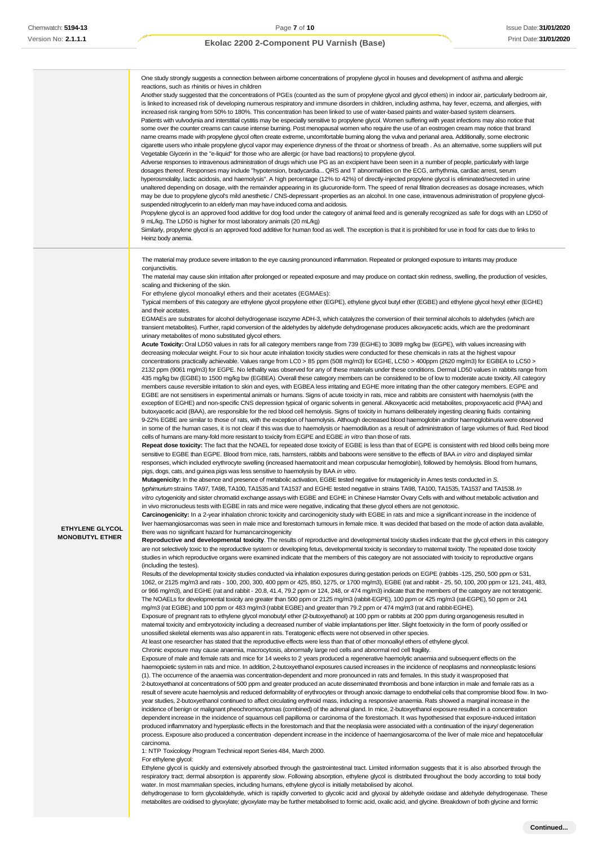|                                                  | One study strongly suggests a connection between airborne concentrations of propylene glycol in houses and development of asthma and allergic<br>reactions, such as rhinitis or hives in children<br>Another study suggested that the concentrations of PGEs (counted as the sum of propylene glycol and glycol ethers) in indoor air, particularly bedroom air,<br>is linked to increased risk of developing numerous respiratory and immune disorders in children, including asthma, hay fever, eczema, and allergies, with<br>increased risk ranging from 50% to 180%. This concentration has been linked to use of water-based paints and water-based system cleansers.<br>Patients with vulvodynia and interstitial cystitis may be especially sensitive to propylene glycol. Women suffering with yeast infections may also notice that<br>some over the counter creams can cause intense burning. Post menopausal women who require the use of an eostrogen cream may notice that brand<br>name creams made with propylene glycol often create extreme, uncomfortable burning along the vulva and perianal area. Additionally, some electronic<br>cigarette users who inhale propylene glycol vapor may experience dryness of the throat or shortness of breath. As an alternative, some suppliers will put<br>Vegetable Glycerin in the "e-liquid" for those who are allergic (or have bad reactions) to propylene glycol.<br>Adverse responses to intravenous administration of drugs which use PG as an excipient have been seen in a number of people, particularly with large<br>dosages thereof. Responses may include "hypotension, bradycardia QRS and T abnormalities on the ECG, arrhythmia, cardiac arrest, serum<br>hyperosmolality, lactic acidosis, and haemolysis". A high percentage (12% to 42%) of directly-injected propylene glycol is eliminated/secreted in urine<br>unaltered depending on dosage, with the remainder appearing in its glucuronide-form. The speed of renal filtration decreases as dosage increases, which<br>may be due to propylene glycol's mild anesthetic / CNS-depressant -properties as an alcohol. In one case, intravenous administration of propylene glycol-<br>suspended nitroglycerin to an elderly man may have induced coma and acidosis.<br>Propylene glycol is an approved food additive for dog food under the category of animal feed and is generally recognized as safe for dogs with an LD50 of<br>9 mL/kg. The LD50 is higher for most laboratory animals (20 mL/kg)<br>Similarly, propylene glycol is an approved food additive for human food as well. The exception is that it is prohibited for use in food for cats due to links to<br>Heinz body anemia.                                                                                                                                                                                                                                                                                                                                                                                                                                                                                                                                                                                                                                                                                                                                                                                                                                                                                                                                                                                                                                                                                                                                                                                                                                                                                                                                                                                                                                                                                                                                                                                                                                                                                                                                                                                                                                                                                                                                                                                                                                                                                                                                                                                                                                                                                                                                                                                                                                                                                                                                                                                                                                                                                                                                                                                                                                                                                                                                                                                                                                                                                                                                                                                                                                                                                                                                                                                                                                                                                                                                                                                                                                                                                                                                                                                                                                                                                                                                                                                                                                                                                                                                                                                                                                                                                                                                                                                                                                                                                                                                                                                                                                                                                                                                                                                                                                                                                                                                                                                                                                                                                                                                                                                 |
|--------------------------------------------------|----------------------------------------------------------------------------------------------------------------------------------------------------------------------------------------------------------------------------------------------------------------------------------------------------------------------------------------------------------------------------------------------------------------------------------------------------------------------------------------------------------------------------------------------------------------------------------------------------------------------------------------------------------------------------------------------------------------------------------------------------------------------------------------------------------------------------------------------------------------------------------------------------------------------------------------------------------------------------------------------------------------------------------------------------------------------------------------------------------------------------------------------------------------------------------------------------------------------------------------------------------------------------------------------------------------------------------------------------------------------------------------------------------------------------------------------------------------------------------------------------------------------------------------------------------------------------------------------------------------------------------------------------------------------------------------------------------------------------------------------------------------------------------------------------------------------------------------------------------------------------------------------------------------------------------------------------------------------------------------------------------------------------------------------------------------------------------------------------------------------------------------------------------------------------------------------------------------------------------------------------------------------------------------------------------------------------------------------------------------------------------------------------------------------------------------------------------------------------------------------------------------------------------------------------------------------------------------------------------------------------------------------------------------------------------------------------------------------------------------------------------------------------------------------------------------------------------------------------------------------------------------------------------------------------------------------------------------------------------------------------------------------------------------------------------------------------------------------------------------------------------------------------------------------------------------------------------------------------------------------------------------------------------------------------------------------------------------------------------------------------------------------------------------------------------------------------------------------------------------------------------------------------------------------------------------------------------------------------------------------------------------------------------------------------------------------------------------------------------------------------------------------------------------------------------------------------------------------------------------------------------------------------------------------------------------------------------------------------------------------------------------------------------------------------------------------------------------------------------------------------------------------------------------------------------------------------------------------------------------------------------------------------------------------------------------------------------------------------------------------------------------------------------------------------------------------------------------------------------------------------------------------------------------------------------------------------------------------------------------------------------------------------------------------------------------------------------------------------------------------------------------------------------------------------------------------------------------------------------------------------------------------------------------------------------------------------------------------------------------------------------------------------------------------------------------------------------------------------------------------------------------------------------------------------------------------------------------------------------------------------------------------------------------------------------------------------------------------------------------------------------------------------------------------------------------------------------------------------------------------------------------------------------------------------------------------------------------------------------------------------------------------------------------------------------------------------------------------------------------------------------------------------------------------------------------------------------------------------------------------------------------------------------------------------------------------------------------------------------------------------------------------------------------------------------------------------------------------------------------------------------------------------------------------------------------------------------------------------------------------------------------------------------------------------------------------------------------------------------------------------------------------------------------------------------------------------------------------------------------------------------------------------------------------------------------------------------------------------------------------------------------------------------------------------------------------------------------------------------------------------------------------------------------------------------------------------------------------------------------------------------------------------------------------------------------------------------------------------------------------------------------------------------------------------------------------------------------------------------------------------------------------------------------------------------------------------------------------------------------------------------------------------------------------------------------------------------------------------------------------------------------------------------------------------------------------------------------------------------------------------------------------------------------------------------------------------------------------------------------------------------------------------------------------------------------------------------------------------------------------------------------------------------------------------------------------------------------------------------------------------------------------------------------------|
| <b>ETHYLENE GLYCOL</b><br><b>MONOBUTYL ETHER</b> | The material may produce severe irritation to the eye causing pronounced inflammation. Repeated or prolonged exposure to irritants may produce<br>conjunctivitis.<br>The material may cause skin irritation after prolonged or repeated exposure and may produce on contact skin redness, swelling, the production of vesicles,<br>scaling and thickening of the skin.<br>For ethylene glycol monoalkyl ethers and their acetates (EGMAEs):<br>Typical members of this category are ethylene glycol propylene ether (EGPE), ethylene glycol butyl ether (EGBE) and ethylene glycol hexyl ether (EGHE)<br>and their acetates.<br>EGMAEs are substrates for alcohol dehydrogenase isozyme ADH-3, which catalyzes the conversion of their terminal alcohols to aldehydes (which are<br>transient metabolites). Further, rapid conversion of the aldehydes by aldehyde dehydrogenase produces alkoxyacetic acids, which are the predominant<br>urinary metabolites of mono substituted glycol ethers.<br>Acute Toxicity: Oral LD50 values in rats for all category members range from 739 (EGHE) to 3089 mg/kg bw (EGPE), with values increasing with<br>decreasing molecular weight. Four to six hour acute inhalation toxicity studies were conducted for these chemicals in rats at the highest vapour<br>concentrations practically achievable. Values range from LC0 > 85 ppm (508 mg/m3) for EGHE, LC50 > 400ppm (2620 mg/m3) for EGBEA to LC50 ><br>2132 ppm (9061 mg/m3) for EGPE. No lethality was observed for any of these materials under these conditions. Dermal LD50 values in rabbits range from<br>435 mg/kg bw (EGBE) to 1500 mg/kg bw (EGBEA). Overall these category members can be considered to be of low to moderate acute toxicity. All category<br>members cause reversible irritation to skin and eyes, with EGBEA less irritating and EGHE more irritating than the other category members. EGPE and<br>EGBE are not sensitisers in experimental animals or humans. Signs of acute toxicity in rats, mice and rabbits are consistent with haemolysis (with the<br>exception of EGHE) and non-specific CNS depression typical of organic solvents in general. Alkoxyacetic acid metabolites, propoxyacetic acid (PAA) and<br>butoxyacetic acid (BAA), are responsible for the red blood cell hemolysis. Signs of toxicity in humans deliberately ingesting cleaning fluids containing<br>9-22% EGBE are similar to those of rats, with the exception of haemolysis. Although decreased blood haemoglobin and/or haemoglobinuria were observed<br>in some of the human cases, it is not clear if this was due to haemolysis or haemodilution as a result of administration of large volumes of fluid. Red blood<br>cells of humans are many-fold more resistant to toxicity from EGPE and EGBE in vitro than those of rats.<br>Repeat dose toxicity: The fact that the NOAEL for repeated dose toxicity of EGBE is less than that of EGPE is consistent with red blood cells being more<br>sensitive to EGBE than EGPE. Blood from mice, rats, hamsters, rabbits and baboons were sensitive to the effects of BAA in vitro and displayed similar<br>responses, which included erythrocyte swelling (increased haematocrit and mean corpuscular hemoglobin), followed by hemolysis. Blood from humans,<br>pigs, dogs, cats, and guinea pigs was less sensitive to haemolysis by BAA in vitro.<br>Mutagenicity: In the absence and presence of metabolic activation, EGBE tested negative for mutagenicity in Ames tests conducted in S.<br>typhimurium strains TA97, TA98, TA100, TA1535 and TA1537 and EGHE tested negative in strains TA98, TA100, TA1535, TA1537 and TA1538. In<br>vitro cytogenicity and sister chromatid exchange assays with EGBE and EGHE in Chinese Hamster Ovary Cells with and without metabolic activation and<br>in vivo micronucleus tests with EGBE in rats and mice were negative, indicating that these glycol ethers are not genotoxic.<br>Carcinogenicity: In a 2-year inhalation chronic toxicity and carcinogenicity study with EGBE in rats and mice a significant increase in the incidence of<br>liver haemangiosarcomas was seen in male mice and forestomach tumours in female mice. It was decided that based on the mode of action data available,<br>there was no significant hazard for humancarcinogenicity<br>Reproductive and developmental toxicity. The results of reproductive and developmental toxicity studies indicate that the glycol ethers in this category<br>are not selectively toxic to the reproductive system or developing fetus, developmental toxicity is secondary to maternal toxicity. The repeated dose toxicity<br>studies in which reproductive organs were examined indicate that the members of this category are not associated with toxicity to reproductive organs<br>(including the testes).<br>Results of the developmental toxicity studies conducted via inhalation exposures during gestation periods on EGPE (rabbits -125, 250, 500 ppm or 531,<br>1062, or 2125 mg/m3 and rats - 100, 200, 300, 400 ppm or 425, 850, 1275, or 1700 mg/m3), EGBE (rat and rabbit - 25, 50, 100, 200 ppm or 121, 241, 483,<br>or 966 mg/m3), and EGHE (rat and rabbit - 20.8, 41.4, 79.2 ppm or 124, 248, or 474 mg/m3) indicate that the members of the category are not teratogenic.<br>The NOAELs for developmental toxicity are greater than 500 ppm or 2125 mg/m3 (rabbit-EGPE), 100 ppm or 425 mg/m3 (rat-EGPE), 50 ppm or 241<br>mg/m3 (rat EGBE) and 100 ppm or 483 mg/m3 (rabbit EGBE) and greater than 79.2 ppm or 474 mg/m3 (rat and rabbit-EGHE).<br>Exposure of pregnant rats to ethylene glycol monobutyl ether (2-butoxyethanol) at 100 ppm or rabbits at 200 ppm during organogenesis resulted in<br>matemal toxicity and embryotoxicity including a decreased number of viable implantations per litter. Slight foetoxicity in the form of poorly ossified or<br>unossified skeletal elements was also apparent in rats. Teratogenic effects were not observed in other species.<br>At least one researcher has stated that the reproductive effects were less than that of other monoalkyl ethers of ethylene glycol.<br>Chronic exposure may cause anaemia, macrocytosis, abnormally large red cells and abnormal red cell fragility.<br>Exposure of male and female rats and mice for 14 weeks to 2 years produced a regenerative haemolytic anaemia and subsequent effects on the<br>haemopoietic system in rats and mice. In addition, 2-butoxyethanol exposures caused increases in the incidence of neoplasms and nonneoplastic lesions<br>(1). The occurrence of the anaemia was concentration-dependent and more pronounced in rats and females. In this study it wasproposed that<br>2-butoxyethanol at concentrations of 500 ppm and greater produced an acute disseminated thrombosis and bone infarction in male and female rats as a<br>result of severe acute haemolysis and reduced deformability of erythrocytes or through anoxic damage to endothelial cells that compromise blood flow. In two-<br>year studies, 2-butoxyethanol continued to affect circulating erythroid mass, inducing a responsive anaemia. Rats showed a marginal increase in the<br>incidence of benign or malignant pheochromocytomas (combined) of the adrenal gland. In mice, 2-butoxyethanol exposure resulted in a concentration<br>dependent increase in the incidence of squamous cell papilloma or carcinoma of the forestomach. It was hypothesised that exposure-induced irritation<br>produced inflammatory and hyperplastic effects in the forestomach and that the neoplasia were associated with a continuation of the injury/degeneration<br>process. Exposure also produced a concentration -dependent increase in the incidence of haemangiosarcoma of the liver of male mice and hepatocellular |
|                                                  | carcinoma.<br>1: NTP Toxicology Program Technical report Series 484, March 2000.<br>For ethylene glycol:<br>Ethylene glycol is quickly and extensively absorbed through the gastrointestinal tract. Limited information suggests that it is also absorbed through the<br>respiratory tract; dermal absorption is apparently slow. Following absorption, ethylene glycol is distributed throughout the body according to total body                                                                                                                                                                                                                                                                                                                                                                                                                                                                                                                                                                                                                                                                                                                                                                                                                                                                                                                                                                                                                                                                                                                                                                                                                                                                                                                                                                                                                                                                                                                                                                                                                                                                                                                                                                                                                                                                                                                                                                                                                                                                                                                                                                                                                                                                                                                                                                                                                                                                                                                                                                                                                                                                                                                                                                                                                                                                                                                                                                                                                                                                                                                                                                                                                                                                                                                                                                                                                                                                                                                                                                                                                                                                                                                                                                                                                                                                                                                                                                                                                                                                                                                                                                                                                                                                                                                                                                                                                                                                                                                                                                                                                                                                                                                                                                                                                                                                                                                                                                                                                                                                                                                                                                                                                                                                                                                                                                                                                                                                                                                                                                                                                                                                                                                                                                                                                                                                                                                                                                                                                                                                                                                                                                                                                                                                                                                                                                                                                                                                                                                                                                                                                                                                                                                                                                                                                                                                                                                                                                                                                                                                                                                                                                                                                                                                                                                                                                                                                                                                                   |

water. In most mammalian species, including humans, ethylene glycol is initially metabolised by alcohol. dehydrogenase to form glycolaldehyde, which is rapidly converted to glycolic acid and glyoxal by aldehyde oxidase and aldehyde dehydrogenase. These metabolites are oxidised to glyoxylate; glyoxylate may be further metabolised to formic acid, oxalic acid, and glycine. Breakdown of both glycine and formic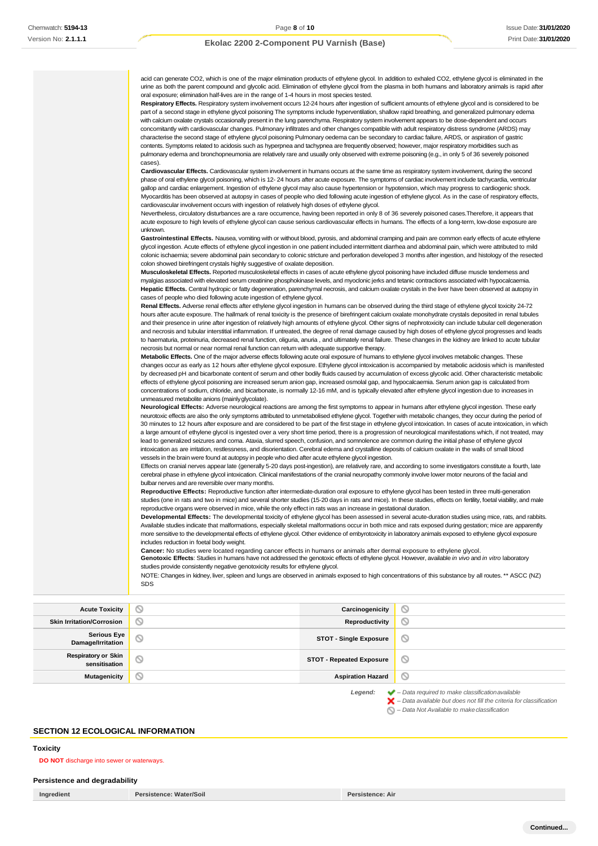acid can generate CO2, which is one of the major elimination products of ethylene glycol. In addition to exhaled CO2, ethylene glycol is eliminated in the urine as both the parent compound and glycolic acid. Elimination of ethylene glycol from the plasma in both humans and laboratory animals is rapid after oral exposure; elimination half-lives are in the range of 1-4 hours in most species tested. **Respiratory Effects.** Respiratory system involvement occurs 12-24 hours after ingestion of sufficient amounts of ethylene glycol and is considered to be part of a second stage in ethylene glycol poisoning The symptoms include hyperventilation, shallow rapid breathing, and generalized pulmonary edema with calcium oxalate crystals occasionally present in the lung parenchyma. Respiratory system involvement appears to be dose-dependent and occurs concomitantly with cardiovascular changes. Pulmonary infiltrates and other changes compatible with adult respiratory distress syndrome (ARDS) may characterise the second stage of ethylene glycol poisoning Pulmonary oedema can be secondary to cardiac failure, ARDS, or aspiration of gastric contents. Symptoms related to acidosis such as hyperpnea and tachypnea are frequently observed; however, major respiratory morbidities such as pulmonary edema and bronchopneumonia are relatively rare and usually only observed with extreme poisoning (e.g., in only 5 of 36 severely poisoned cases). **Cardiovascular Effects.** Cardiovascular system involvement in humans occurs at the same time as respiratory system involvement, during the second phase of oral ethylene glycol poisoning, which is 12- 24 hours after acute exposure. The symptoms of cardiac involvement include tachycardia, ventricular gallop and cardiac enlargement. Ingestion of ethylene glycol may also cause hypertension or hypotension, which may progress to cardiogenic shock. Myocarditis has been observed at autopsy in cases of people who died following acute ingestion of ethylene glycol. As in the case of respiratory effects, cardiovascular involvement occurs with ingestion of relatively high doses of ethylene glycol. Nevertheless, circulatory disturbances are a rare occurrence, having been reported in only 8 of 36 severely poisoned cases.Therefore, it appears that acute exposure to high levels of ethylene glycol can cause serious cardiovascular effects in humans. The effects of a long-term, low-dose exposure are unknown. Gastrointestinal Effects. Nausea, vomiting with or without blood, pyrosis, and abdominal cramping and pain are common early effects of acute ethylene glycol ingestion. Acute effects of ethylene glycol ingestion in one patient included intermittent diarrhea and abdominal pain, which were attributed to mild colonic ischaemia; severe abdominal pain secondary to colonic stricture and perforation developed 3 months after ingestion, and histology of the resected colon showed birefringent crystals highly suggestive of oxalate deposition. **Musculoskeletal Effects.** Reported musculoskeletal effects in cases of acute ethylene glycol poisoning have included diffuse muscle tenderness and myalgias associated with elevated serum creatinine phosphokinase levels, and myoclonic jerks and tetanic contractions associated with hypocalcaemia. **Hepatic Effects.** Central hydropic or fatty degeneration, parenchymal necrosis, and calcium oxalate crystals in the liver have been observed at autopsy in cases of people who died following acute ingestion of ethylene glycol. **Renal Effects.** Adverse renal effects after ethylene glycol ingestion in humans can be observed during the third stage of ethylene glycol toxicity 24-72 hours after acute exposure. The hallmark of renal toxicity is the presence of birefringent calcium oxalate monohydrate crystals deposited in renal tubules and their presence in urine after ingestion of relatively high amounts of ethylene glycol. Other signs of nephrotoxicity can include tubular cell degeneration and necrosis and tubular interstitial inflammation. If untreated, the degree of renal damage caused by high doses of ethylene glycol progresses and leads to haematuria, proteinuria, decreased renal function, oliguria, anuria , and ultimately renal failure. These changes in the kidney are linked to acute tubular necrosis but normal or near normal renal function can return with adequate supportive therapy. **Metabolic Effects.** One of the major adverse effects following acute oral exposure of humans to ethylene glycol involves metabolic changes. These changes occur as early as 12 hours after ethylene glycol exposure. Ethylene glycol intoxication is accompanied by metabolic acidosis which is manifested by decreased pH and bicarbonate content of serum and other bodily fluids caused by accumulation of excess glycolic acid. Other characteristic metabolic effects of ethylene glycol poisoning are increased serum anion gap, increased osmolal gap, and hypocalcaemia. Serum anion gap is calculated from concentrations of sodium, chloride, and bicarbonate, is normally 12-16 mM, and is typically elevated after ethylene glycol ingestion due to increases in unmeasured metabolite anions (mainlyglycolate). **Neurological Effects:** Adverse neurological reactions are among the first symptoms to appear in humans after ethylene glycol ingestion. These early neurotoxic effects are also the only symptoms attributed to unmetabolised ethylene glycol. Together with metabolic changes, they occur during the period of 30 minutes to 12 hours after exposure and are considered to be part of the first stage in ethylene glycol intoxication. In cases of acute intoxication, in which a large amount of ethylene glycol is ingested over a very short time period, there is a progression of neurological manifestations which, if not treated, may lead to generalized seizures and coma. Ataxia, slurred speech, confusion, and somnolence are common during the initial phase of ethylene glycol intoxication as are irritation, restlessness, and disorientation. Cerebral edema and crystalline deposits of calcium oxalate in the walls of small blood vessels in the brain were found at autopsy in people who died after acute ethylene glycol ingestion. Effects on cranial nerves appear late (generally 5-20 days post-ingestion), are relatively rare, and according to some investigators constitute a fourth, late cerebral phase in ethylene glycol intoxication. Clinical manifestations of the cranial neuropathy commonly involve lower motor neurons of the facial and bulbar nerves and are reversible over many months. **Reproductive Effects:** Reproductive function after intermediate-duration oral exposure to ethylene glycol has been tested in three multi-generation studies (one in rats and two in mice) and several shorter studies (15-20 days in rats and mice). In these studies, effects on fertility, foetal viability, and male reproductive organs were observed in mice, while the only effect in rats was an increase in gestational duration. **Developmental Effects:** The developmental toxicity of ethylene glycol has been assessed in several acute-duration studies using mice, rats, and rabbits. Available studies indicate that malformations, especially skeletal malformations occur in both mice and rats exposed during gestation; mice are apparently more sensitive to the developmental effects of ethylene glycol. Other evidence of embyrotoxicity in laboratory animals exposed to ethylene glycol exposure includes reduction in foetal body weight. **Cancer:** No studies were located regarding cancer effects in humans or animals after dermal exposure to ethylene glycol. **Genotoxic Effects**: Studies in humans have not addressed the genotoxic effects of ethylene glycol. However, available *in vivo* and *in vitro* laboratory studies provide consistently negative genotoxicity results for ethylene glycol.

NOTE: Changes in kidney, liver, spleen and lungs are observed in animals exposed to high concentrations of this substance by all routes. \*\* ASCC (NZ) SDS

**Acute Toxicity Carcinogenicity Carcinogenicity**  $\circ$ **Skin Irritation/Corrosion Reproductivity**  $\varnothing$ **Serious Eye Damage/Irritation STOT - Single Exposure**  $\circ$ **Respiratory or Skin sensitisation STOT - Repeated Exposure** ல **Mutagenicity Aspiration Hazard**  $\circ$ *Legend: – Data required to make classificationavailable*

> *– Data available but does not fill the criteria for classification* ×

*– Data Not Available to makeclassification*

#### **SECTION 12 ECOLOGICAL INFORMATION**

#### <span id="page-7-0"></span>**Toxicity**

**DO NOT** discharge into sewer or waterways.

#### **Persistence and degradability**

**Ingredient Persistence: Water/Soil Persistence: Air**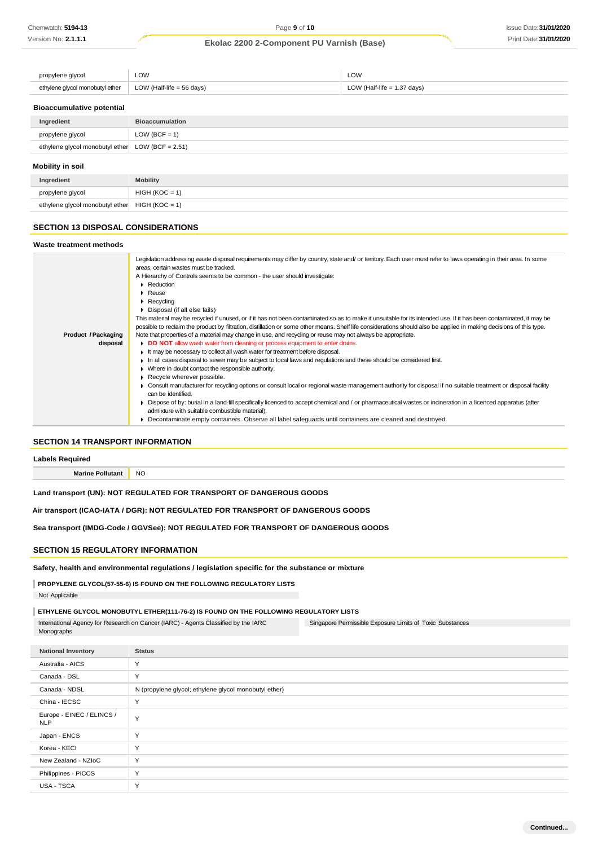| propylene glycol                | ∟OW                       | LOW                           |
|---------------------------------|---------------------------|-------------------------------|
| ethylene glycol monobutyl ether | LOW (Half-life = 56 days) | LOW (Half-life $= 1.37$ days) |

### **Bioaccumulative potential**

| Ingredient                                          | <b>Bioaccumulation</b> |  |
|-----------------------------------------------------|------------------------|--|
| propylene glycol                                    | LOW (BCF = $1$ )       |  |
| ethylene glycol monobutyl ether LOW (BCF = $2.51$ ) |                        |  |
| Mobility in soil                                    |                        |  |
| Ingredient                                          | <b>Mobility</b>        |  |

#### **SECTION 13 DISPOSAL CONSIDERATIONS**

propylene glycol HIGH (KOC = 1) ethylene glycol monobutyl ether  $HIGH (KOC = 1)$ 

#### **Waste treatment methods Product /Packaging disposal** Legislation addressing waste disposal requirements may differ by country, state and/ or territory. Each user must refer to laws operating in their area. In some areas, certain wastes must be tracked. A Hierarchy of Controls seems to be common - the user should investigate: **Reduction** Reuse **Recycling** Disposal (if all else fails) This material may be recycled if unused, or if it has not been contaminated so as to make it unsuitable for its intended use. If it has been contaminated, it may be possible to reclaim the product by filtration, distillation or some other means. Shelf life considerations should also be applied in making decisions of this type. Note that properties of a material may change in use, and recycling or reuse may not always be appropriate. **DO NOT** allow wash water from cleaning or process equipment to enter drains. It may be necessary to collect all wash water for treatment before disposal. In all cases disposal to sewer may be subject to local laws and regulations and these should be considered first. Where in doubt contact the responsible authority. Recycle wherever possible. Consult manufacturer for recycling options or consult local or regional waste management authority for disposal if no suitable treatment or disposal facility can be identified. Dispose of by: burial in a land-fill specifically licenced to accept chemical and / or pharmaceutical wastes or incineration in a licenced apparatus (after admixture with suitable combustible material). Decontaminate empty containers. Observe all label safeguards until containers are cleaned and destroyed.

### **SECTION 14 TRANSPORT INFORMATION**

**Labels Required**

**Marine Pollutant** NO

### **Land transport (UN): NOT REGULATED FOR TRANSPORT OF DANGEROUS GOODS**

**Air transport (ICAO-IATA / DGR): NOT REGULATED FOR TRANSPORT OF DANGEROUS GOODS**

**Sea transport (IMDG-Code / GGVSee): NOT REGULATED FOR TRANSPORT OF DANGEROUS GOODS**

### **SECTION 15 REGULATORY INFORMATION**

**Safety, health and environmental regulations / legislation specific for the substance or mixture**

### **PROPYLENE GLYCOL(57-55-6) IS FOUND ON THE FOLLOWING REGULATORY LISTS**

Not Applicable

### **ETHYLENE GLYCOL MONOBUTYL ETHER(111-76-2) IS FOUND ON THE FOLLOWING REGULATORY LISTS**

Singapore Permissible Exposure Limits of Toxic Substances International Agency for Research on Cancer (IARC) - Agents Classified by the IARC Monographs

**National Inventory Status** Australia - AICS Y Canada - DSL Y Canada - NDSL N (propylene glycol; ethylene glycol monobutyl ether) China - IECSC Y Europe - EINEC / ELINCS / Y<br>NLP Japan - ENCS Y Korea - KECI Y New Zealand - NZIoC Y Philippines - PICCS Y USA - TSCA Y